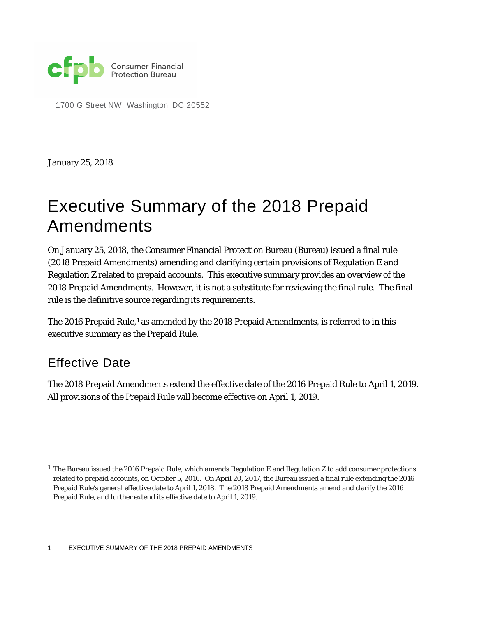

1700 G Street NW, Washington, DC 20552

January 25, 2018

# Executive Summary of the 2018 Prepaid Amendments

On January 25, 2018, the Consumer Financial Protection Bureau (Bureau) issued a final rule (2018 Prepaid Amendments) amending and clarifying certain provisions of Regulation E and Regulation Z related to prepaid accounts. This executive summary provides an overview of the 2018 Prepaid Amendments. However, it is not a substitute for reviewing the final rule. The final rule is the definitive source regarding its requirements.

The 20[1](#page-0-0)6 Prepaid Rule,<sup>1</sup> as amended by the 2018 Prepaid Amendments, is referred to in this executive summary as the Prepaid Rule.

### Effective Date

1

The 2018 Prepaid Amendments extend the effective date of the 2016 Prepaid Rule to April 1, 2019. All provisions of the Prepaid Rule will become effective on April 1, 2019.

<span id="page-0-0"></span><sup>&</sup>lt;sup>1</sup> The Bureau issued the 2016 Prepaid Rule, which amends Regulation E and Regulation Z to add consumer protections related to prepaid accounts, on October 5, 2016. On April 20, 2017, the Bureau issued a final rule extending the 2016 Prepaid Rule's general effective date to April 1, 2018. The 2018 Prepaid Amendments amend and clarify the 2016 Prepaid Rule, and further extend its effective date to April 1, 2019.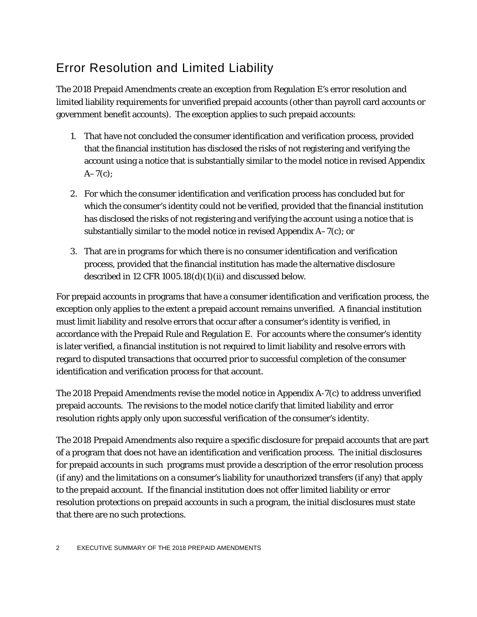# Error Resolution and Limited Liability

The 2018 Prepaid Amendments create an exception from Regulation E's error resolution and limited liability requirements for unverified prepaid accounts (other than payroll card accounts or government benefit accounts). The exception applies to such prepaid accounts:

- 1. That have not concluded the consumer identification and verification process, provided that the financial institution has disclosed the risks of not registering and verifying the account using a notice that is substantially similar to the model notice in revised Appendix  $A-7(c)$ ;
- 2. For which the consumer identification and verification process has concluded but for which the consumer's identity could not be verified, provided that the financial institution has disclosed the risks of not registering and verifying the account using a notice that is substantially similar to the model notice in revised Appendix A–7(c); or
- 3. That are in programs for which there is no consumer identification and verification process, provided that the financial institution has made the alternative disclosure described in 12 CFR 1005.18(d)(1)(ii) and discussed below.

For prepaid accounts in programs that have a consumer identification and verification process, the exception only applies to the extent a prepaid account remains unverified. A financial institution must limit liability and resolve errors that occur after a consumer's identity is verified, in accordance with the Prepaid Rule and Regulation E. For accounts where the consumer's identity is later verified, a financial institution is not required to limit liability and resolve errors with regard to disputed transactions that occurred prior to successful completion of the consumer identification and verification process for that account.

The 2018 Prepaid Amendments revise the model notice in Appendix A-7(c) to address unverified prepaid accounts. The revisions to the model notice clarify that limited liability and error resolution rights apply only upon successful verification of the consumer's identity.

The 2018 Prepaid Amendments also require a specific disclosure for prepaid accounts that are part of a program that does not have an identification and verification process. The initial disclosures for prepaid accounts in such programs must provide a description of the error resolution process (if any) and the limitations on a consumer's liability for unauthorized transfers (if any) that apply to the prepaid account. If the financial institution does not offer limited liability or error resolution protections on prepaid accounts in such a program, the initial disclosures must state that there are no such protections.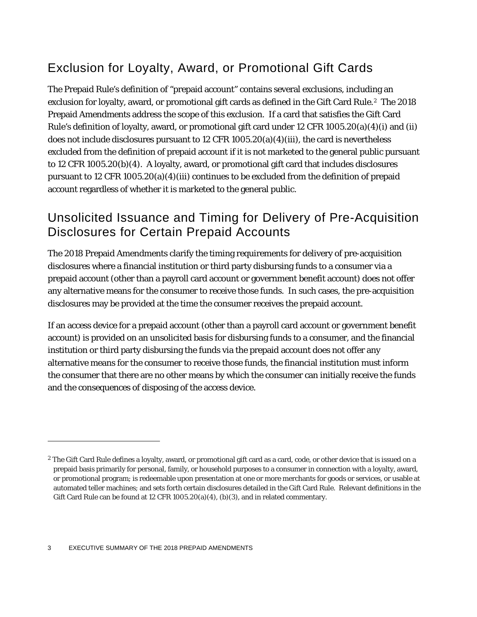# Exclusion for Loyalty, Award, or Promotional Gift Cards

The Prepaid Rule's definition of "prepaid account" contains several exclusions, including an exclusion for loyalty, award, or promotional gift cards as defined in the Gift Card Rule.<sup>2</sup> The 2018 Prepaid Amendments address the scope of this exclusion. If a card that satisfies the Gift Card Rule's definition of loyalty, award, or promotional gift card under 12 CFR 1005.20(a)(4)(i) and (ii) does not include disclosures pursuant to 12 CFR 1005.20(a)(4)(iii), the card is nevertheless excluded from the definition of prepaid account if it is not marketed to the general public pursuant to 12 CFR 1005.20(b)(4). A loyalty, award, or promotional gift card that includes disclosures pursuant to 12 CFR 1005.20(a)(4)(iii) continues to be excluded from the definition of prepaid account regardless of whether it is marketed to the general public.

#### Unsolicited Issuance and Timing for Delivery of Pre-Acquisition Disclosures for Certain Prepaid Accounts

The 2018 Prepaid Amendments clarify the timing requirements for delivery of pre-acquisition disclosures where a financial institution or third party disbursing funds to a consumer via a prepaid account (other than a payroll card account or government benefit account) does not offer any alternative means for the consumer to receive those funds. In such cases, the pre-acquisition disclosures may be provided at the time the consumer receives the prepaid account.

If an access device for a prepaid account (other than a payroll card account or government benefit account) is provided on an unsolicited basis for disbursing funds to a consumer, and the financial institution or third party disbursing the funds via the prepaid account does not offer any alternative means for the consumer to receive those funds, the financial institution must inform the consumer that there are no other means by which the consumer can initially receive the funds and the consequences of disposing of the access device.

1

<span id="page-2-0"></span><sup>&</sup>lt;sup>2</sup> The Gift Card Rule defines a loyalty, award, or promotional gift card as a card, code, or other device that is issued on a prepaid basis primarily for personal, family, or household purposes to a consumer in connection with a loyalty, award, or promotional program; is redeemable upon presentation at one or more merchants for goods or services, or usable at automated teller machines; and sets forth certain disclosures detailed in the Gift Card Rule. Relevant definitions in the Gift Card Rule can be found at 12 CFR 1005.20(a)(4), (b)(3), and in related commentary.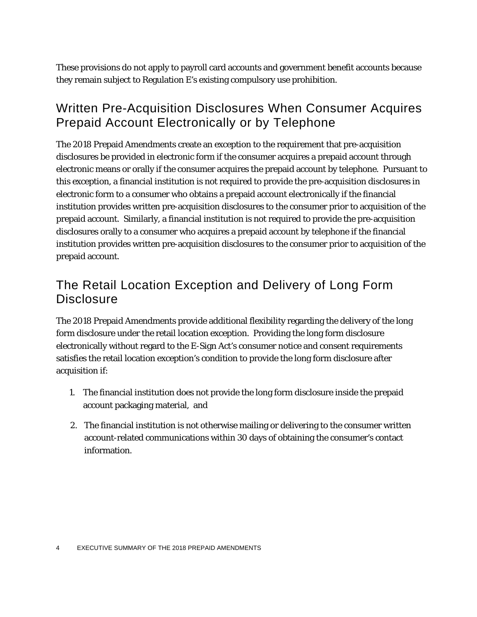These provisions do not apply to payroll card accounts and government benefit accounts because they remain subject to Regulation E's existing compulsory use prohibition.

#### Written Pre-Acquisition Disclosures When Consumer Acquires Prepaid Account Electronically or by Telephone

The 2018 Prepaid Amendments create an exception to the requirement that pre-acquisition disclosures be provided in electronic form if the consumer acquires a prepaid account through electronic means or orally if the consumer acquires the prepaid account by telephone. Pursuant to this exception, a financial institution is not required to provide the pre-acquisition disclosures in electronic form to a consumer who obtains a prepaid account electronically if the financial institution provides written pre-acquisition disclosures to the consumer prior to acquisition of the prepaid account. Similarly, a financial institution is not required to provide the pre-acquisition disclosures orally to a consumer who acquires a prepaid account by telephone if the financial institution provides written pre-acquisition disclosures to the consumer prior to acquisition of the prepaid account.

#### The Retail Location Exception and Delivery of Long Form **Disclosure**

The 2018 Prepaid Amendments provide additional flexibility regarding the delivery of the long form disclosure under the retail location exception. Providing the long form disclosure electronically without regard to the E-Sign Act's consumer notice and consent requirements satisfies the retail location exception's condition to provide the long form disclosure after acquisition if:

- 1. The financial institution does not provide the long form disclosure inside the prepaid account packaging material, and
- 2. The financial institution is not otherwise mailing or delivering to the consumer written account-related communications within 30 days of obtaining the consumer's contact information.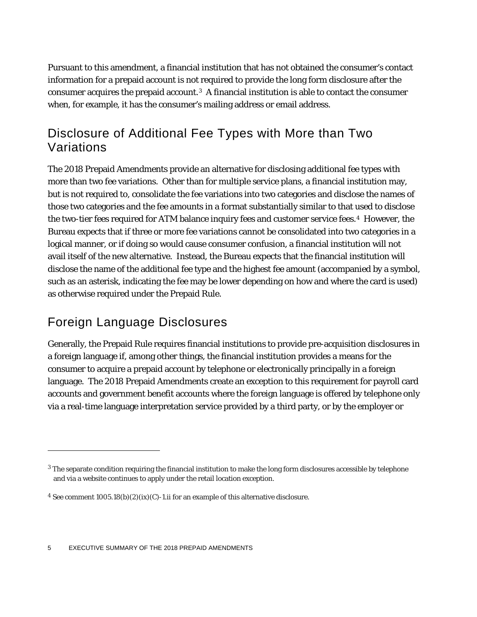Pursuant to this amendment, a financial institution that has not obtained the consumer's contact information for a prepaid account is not required to provide the long form disclosure after the consumer acquires the prepaid account.[3](#page-4-0) A financial institution is able to contact the consumer when, for example, it has the consumer's mailing address or email address.

### Disclosure of Additional Fee Types with More than Two Variations

The 2018 Prepaid Amendments provide an alternative for disclosing additional fee types with more than two fee variations. Other than for multiple service plans, a financial institution may, but is not required to, consolidate the fee variations into two categories and disclose the names of those two categories and the fee amounts in a format substantially similar to that used to disclose the two-tier fees required for ATM balance inquiry fees and customer service fees.[4](#page-4-1) However, the Bureau expects that if three or more fee variations cannot be consolidated into two categories in a logical manner, or if doing so would cause consumer confusion, a financial institution will not avail itself of the new alternative. Instead, the Bureau expects that the financial institution will disclose the name of the additional fee type and the highest fee amount (accompanied by a symbol, such as an asterisk, indicating the fee may be lower depending on how and where the card is used) as otherwise required under the Prepaid Rule.

### Foreign Language Disclosures

1

Generally, the Prepaid Rule requires financial institutions to provide pre-acquisition disclosures in a foreign language if, among other things, the financial institution provides a means for the consumer to acquire a prepaid account by telephone or electronically principally in a foreign language. The 2018 Prepaid Amendments create an exception to this requirement for payroll card accounts and government benefit accounts where the foreign language is offered by telephone only via a real-time language interpretation service provided by a third party, or by the employer or

<span id="page-4-0"></span> $3$  The separate condition requiring the financial institution to make the long form disclosures accessible by telephone and via a website continues to apply under the retail location exception.

<span id="page-4-1"></span><sup>&</sup>lt;sup>4</sup> See comment  $1005.18(b)(2)(ix)(C)-1.1$  for an example of this alternative disclosure.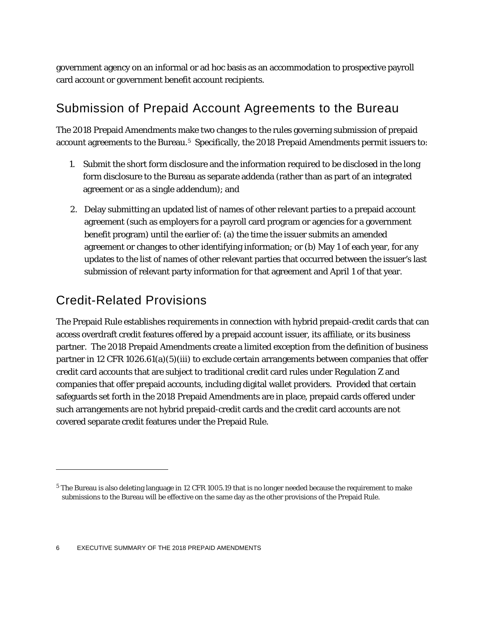government agency on an informal or ad hoc basis as an accommodation to prospective payroll card account or government benefit account recipients.

### Submission of Prepaid Account Agreements to the Bureau

The 2018 Prepaid Amendments make two changes to the rules governing submission of prepaid account agreements to the Bureau.<sup>5</sup> Specifically, the 2018 Prepaid Amendments permit issuers to:

- 1. Submit the short form disclosure and the information required to be disclosed in the long form disclosure to the Bureau as separate addenda (rather than as part of an integrated agreement or as a single addendum); and
- 2. Delay submitting an updated list of names of other relevant parties to a prepaid account agreement (such as employers for a payroll card program or agencies for a government benefit program) until the earlier of: (a) the time the issuer submits an amended agreement or changes to other identifying information; or (b) May 1 of each year, for any updates to the list of names of other relevant parties that occurred between the issuer's last submission of relevant party information for that agreement and April 1 of that year.

## Credit-Related Provisions

1

The Prepaid Rule establishes requirements in connection with hybrid prepaid-credit cards that can access overdraft credit features offered by a prepaid account issuer, its affiliate, or its business partner. The 2018 Prepaid Amendments create a limited exception from the definition of business partner in 12 CFR 1026.61(a)(5)(iii) to exclude certain arrangements between companies that offer credit card accounts that are subject to traditional credit card rules under Regulation Z and companies that offer prepaid accounts, including digital wallet providers. Provided that certain safeguards set forth in the 2018 Prepaid Amendments are in place, prepaid cards offered under such arrangements are not hybrid prepaid-credit cards and the credit card accounts are not covered separate credit features under the Prepaid Rule.

<span id="page-5-0"></span><sup>5</sup> The Bureau is also deleting language in 12 CFR 1005.19 that is no longer needed because the requirement to make submissions to the Bureau will be effective on the same day as the other provisions of the Prepaid Rule.